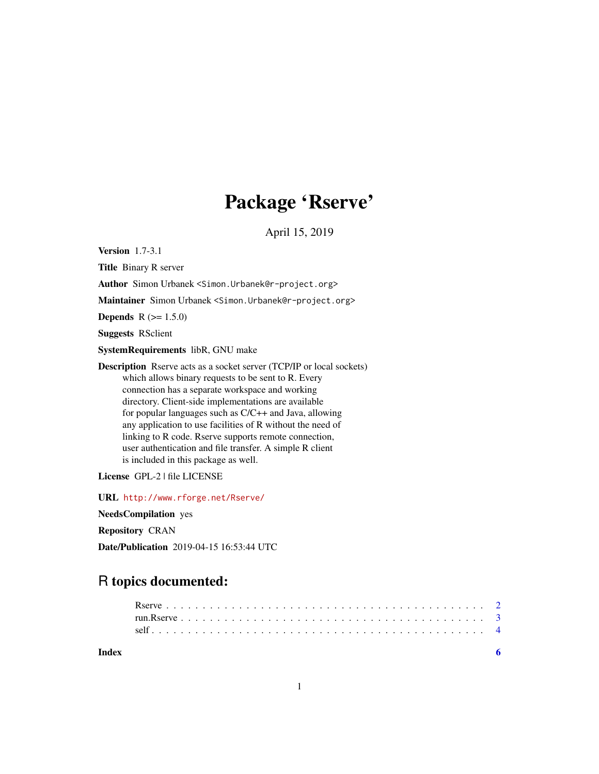## Package 'Rserve'

April 15, 2019

<span id="page-0-0"></span>Version 1.7-3.1

Title Binary R server

Author Simon Urbanek <Simon.Urbanek@r-project.org>

Maintainer Simon Urbanek <Simon.Urbanek@r-project.org>

**Depends**  $R (= 1.5.0)$ 

Suggests RSclient

SystemRequirements libR, GNU make

Description Rserve acts as a socket server (TCP/IP or local sockets) which allows binary requests to be sent to R. Every connection has a separate workspace and working directory. Client-side implementations are available for popular languages such as C/C++ and Java, allowing any application to use facilities of R without the need of linking to R code. Rserve supports remote connection, user authentication and file transfer. A simple R client is included in this package as well.

License GPL-2 | file LICENSE

URL <http://www.rforge.net/Rserve/>

NeedsCompilation yes

Repository CRAN

Date/Publication 2019-04-15 16:53:44 UTC

### R topics documented:

| Index |  |  |  |  |  |  |  |  |  |  |  |  |  |  |  |  |  |  |  |  |  |  |
|-------|--|--|--|--|--|--|--|--|--|--|--|--|--|--|--|--|--|--|--|--|--|--|
|       |  |  |  |  |  |  |  |  |  |  |  |  |  |  |  |  |  |  |  |  |  |  |
|       |  |  |  |  |  |  |  |  |  |  |  |  |  |  |  |  |  |  |  |  |  |  |
|       |  |  |  |  |  |  |  |  |  |  |  |  |  |  |  |  |  |  |  |  |  |  |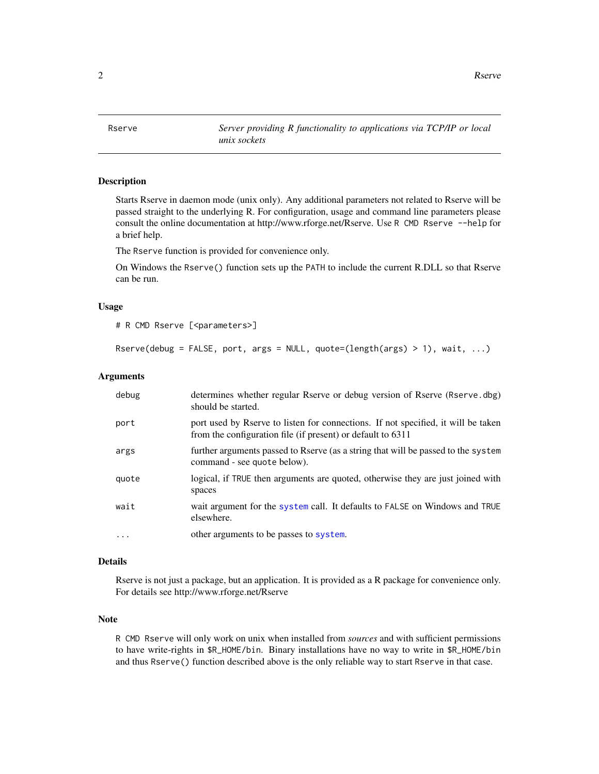<span id="page-1-0"></span>2 **Reserve Executive Server Executive Server Executive Server Executive Server Executive Server Executive Server Executive Server Executive Server Executive Server Executive Server Executive Server Executive Server Executi** 

<span id="page-1-1"></span>Rserve *Server providing R functionality to applications via TCP/IP or local unix sockets*

#### Description

Starts Rserve in daemon mode (unix only). Any additional parameters not related to Rserve will be passed straight to the underlying R. For configuration, usage and command line parameters please consult the online documentation at http://www.rforge.net/Rserve. Use R CMD Rserve --help for a brief help.

The Rserve function is provided for convenience only.

On Windows the Rserve() function sets up the PATH to include the current R.DLL so that Rserve can be run.

#### Usage

```
# R CMD Rserve [<parameters>]
```

```
Rserve(debug = FALSE, port, args = NULL, quote=(length(args) > 1), wait, ...)
```
#### Arguments

| debug    | determines whether regular Rserve or debug version of Rserve (Rserve.dbg)<br>should be started.                                                  |
|----------|--------------------------------------------------------------------------------------------------------------------------------------------------|
| port     | port used by Rserve to listen for connections. If not specified, it will be taken<br>from the configuration file (if present) or default to 6311 |
| args     | further arguments passed to Rserve (as a string that will be passed to the system<br>command - see quote below).                                 |
| quote    | logical, if TRUE then arguments are quoted, otherwise they are just joined with<br>spaces                                                        |
| wait     | wait argument for the system call. It defaults to FALSE on Windows and TRUE<br>elsewhere.                                                        |
| $\cdots$ | other arguments to be passes to system.                                                                                                          |

#### Details

Rserve is not just a package, but an application. It is provided as a R package for convenience only. For details see http://www.rforge.net/Rserve

#### Note

R CMD Rserve will only work on unix when installed from *sources* and with sufficient permissions to have write-rights in \$R\_HOME/bin. Binary installations have no way to write in \$R\_HOME/bin and thus Rserve() function described above is the only reliable way to start Rserve in that case.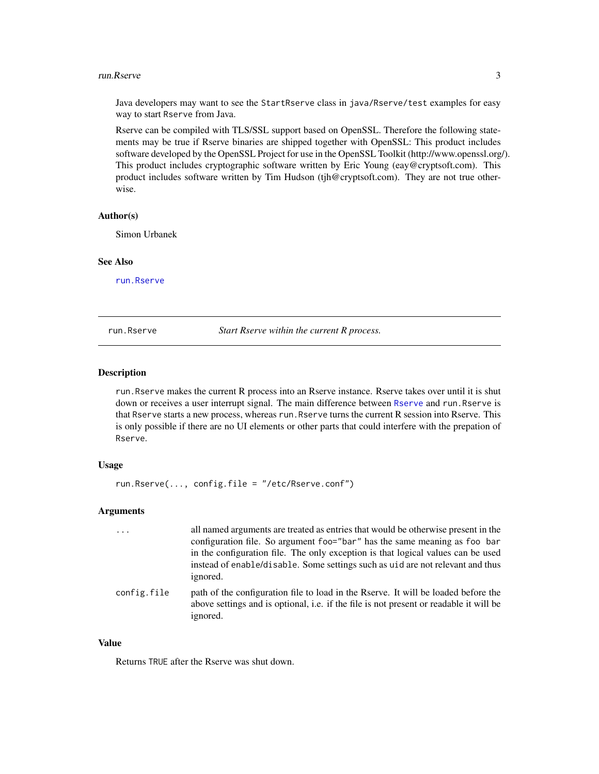#### <span id="page-2-0"></span>run.Rserve 3

Java developers may want to see the StartRserve class in java/Rserve/test examples for easy way to start Rserve from Java.

Rserve can be compiled with TLS/SSL support based on OpenSSL. Therefore the following statements may be true if Rserve binaries are shipped together with OpenSSL: This product includes software developed by the OpenSSL Project for use in the OpenSSL Toolkit (http://www.openssl.org/). This product includes cryptographic software written by Eric Young (eay@cryptsoft.com). This product includes software written by Tim Hudson (tjh@cryptsoft.com). They are not true otherwise.

#### Author(s)

Simon Urbanek

#### See Also

[run.Rserve](#page-2-1)

<span id="page-2-1"></span>run.Rserve *Start Rserve within the current R process.*

#### Description

run.Rserve makes the current R process into an Rserve instance. Rserve takes over until it is shut down or receives a user interrupt signal. The main difference between [Rserve](#page-1-1) and run.Rserve is that Rserve starts a new process, whereas run.Rserve turns the current R session into Rserve. This is only possible if there are no UI elements or other parts that could interfere with the prepation of Rserve.

#### Usage

```
run.Rserve(..., config.file = "/etc/Rserve.conf")
```
#### Arguments

| $\cdots$    | all named arguments are treated as entries that would be otherwise present in the<br>configuration file. So argument foo="bar" has the same meaning as foo bar<br>in the configuration file. The only exception is that logical values can be used<br>instead of enable/disable. Some settings such as uid are not relevant and thus<br>ignored. |
|-------------|--------------------------------------------------------------------------------------------------------------------------------------------------------------------------------------------------------------------------------------------------------------------------------------------------------------------------------------------------|
| config.file | path of the configuration file to load in the Rserve. It will be loaded before the<br>above settings and is optional, i.e. if the file is not present or readable it will be<br>ignored.                                                                                                                                                         |

#### Value

Returns TRUE after the Rserve was shut down.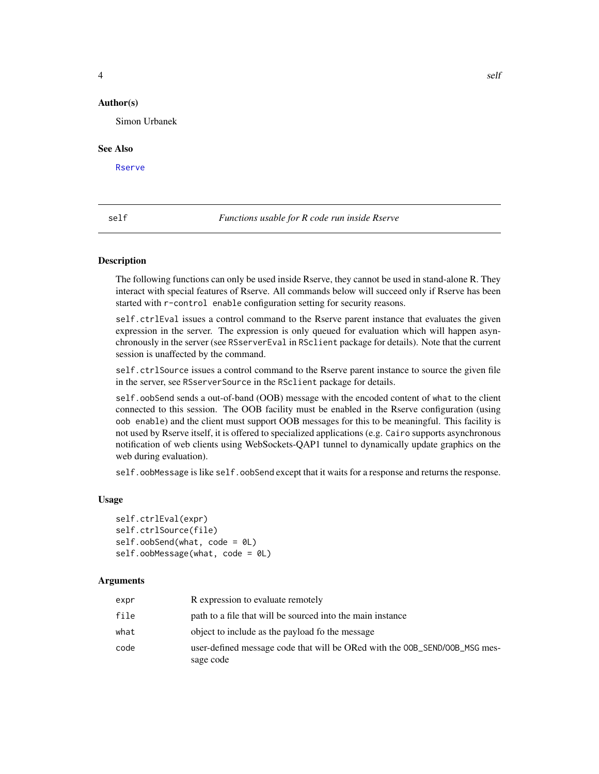#### <span id="page-3-0"></span>Author(s)

Simon Urbanek

#### See Also

[Rserve](#page-1-1)

self *Functions usable for R code run inside Rserve*

#### **Description**

The following functions can only be used inside Rserve, they cannot be used in stand-alone R. They interact with special features of Rserve. All commands below will succeed only if Rserve has been started with r-control enable configuration setting for security reasons.

self.ctrlEval issues a control command to the Rserve parent instance that evaluates the given expression in the server. The expression is only queued for evaluation which will happen asynchronously in the server (see RSserverEval in RSclient package for details). Note that the current session is unaffected by the command.

self.ctrlSource issues a control command to the Rserve parent instance to source the given file in the server, see RSserverSource in the RSclient package for details.

self.oobSend sends a out-of-band (OOB) message with the encoded content of what to the client connected to this session. The OOB facility must be enabled in the Rserve configuration (using oob enable) and the client must support OOB messages for this to be meaningful. This facility is not used by Rserve itself, it is offered to specialized applications (e.g. Cairo supports asynchronous notification of web clients using WebSockets-QAP1 tunnel to dynamically update graphics on the web during evaluation).

self.oobMessage is like self.oobSend except that it waits for a response and returns the response.

#### Usage

```
self.ctrlEval(expr)
self.ctrlSource(file)
self.oobSend(what, code = 0L)
self.oobMessage(what, code = 0L)
```
#### Arguments

| expr | R expression to evaluate remotely                                                       |
|------|-----------------------------------------------------------------------------------------|
| file | path to a file that will be sourced into the main instance                              |
| what | object to include as the payload fo the message                                         |
| code | user-defined message code that will be ORed with the OOB_SEND/OOB_MSG mes-<br>sage code |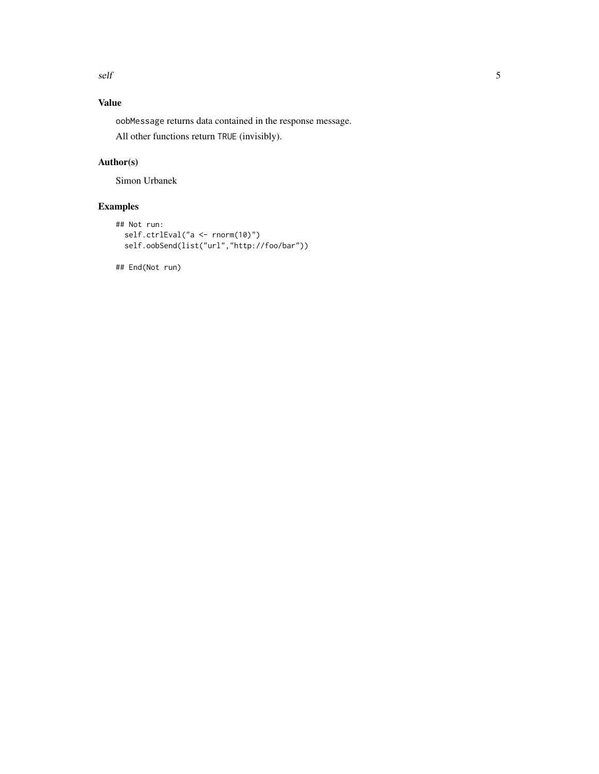self 5

#### Value

oobMessage returns data contained in the response message.

All other functions return TRUE (invisibly).

#### Author(s)

Simon Urbanek

#### Examples

```
## Not run:
 self.ctrlEval("a <- rnorm(10)")
  self.oobSend(list("url","http://foo/bar"))
```
## End(Not run)